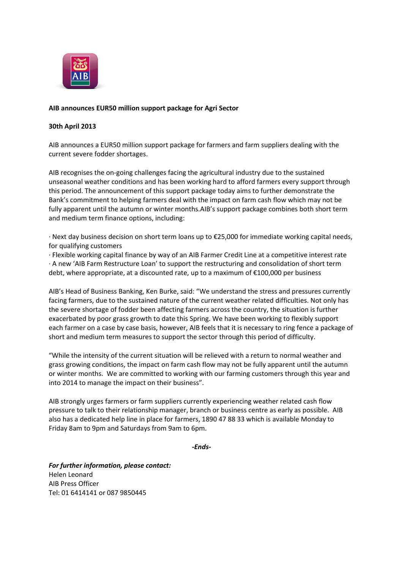

## **AIB announces EUR50 million support package for Agri Sector**

## **30th April 2013**

AIB announces a EUR50 million support package for farmers and farm suppliers dealing with the current severe fodder shortages.

AIB recognises the on-going challenges facing the agricultural industry due to the sustained unseasonal weather conditions and has been working hard to afford farmers every support through this period. The announcement of this support package today aims to further demonstrate the Bank's commitment to helping farmers deal with the impact on farm cash flow which may not be fully apparent until the autumn or winter months.AIB's support package combines both short term and medium term finance options, including:

· Next day business decision on short term loans up to €25,000 for immediate working capital needs, for qualifying customers

· Flexible working capital finance by way of an AIB Farmer Credit Line at a competitive interest rate · A new 'AIB Farm Restructure Loan' to support the restructuring and consolidation of short term debt, where appropriate, at a discounted rate, up to a maximum of €100,000 per business

AIB's Head of Business Banking, Ken Burke, said: "We understand the stress and pressures currently facing farmers, due to the sustained nature of the current weather related difficulties. Not only has the severe shortage of fodder been affecting farmers across the country, the situation is further exacerbated by poor grass growth to date this Spring. We have been working to flexibly support each farmer on a case by case basis, however, AIB feels that it is necessary to ring fence a package of short and medium term measures to support the sector through this period of difficulty.

"While the intensity of the current situation will be relieved with a return to normal weather and grass growing conditions, the impact on farm cash flow may not be fully apparent until the autumn or winter months. We are committed to working with our farming customers through this year and into 2014 to manage the impact on their business".

AIB strongly urges farmers or farm suppliers currently experiencing weather related cash flow pressure to talk to their relationship manager, branch or business centre as early as possible. AIB also has a dedicated help line in place for farmers, 1890 47 88 33 which is available Monday to Friday 8am to 9pm and Saturdays from 9am to 6pm.

*-Ends-*

*For further information, please contact:* Helen Leonard AIB Press Officer Tel: 01 6414141 or 087 9850445